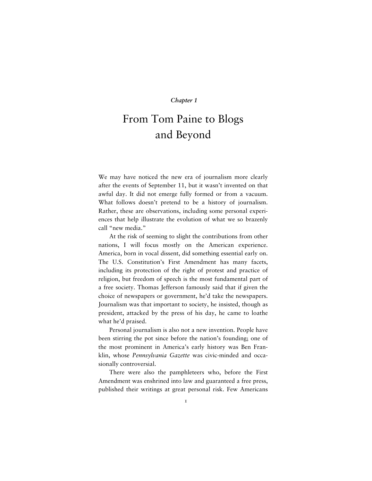## Chapter 1 *Chapter 1*

# From Tom Paine to Blogs and Beyond

We may have noticed the new era of journalism more clearly after the events of September 11, but it wasn't invented on that awful day. It did not emerge fully formed or from a vacuum. What follows doesn't pretend to be a history of journalism. Rather, these are observations, including some personal experiences that help illustrate the evolution of what we so brazenly call "new media."

At the risk of seeming to slight the contributions from other nations, I will focus mostly on the American experience. America, born in vocal dissent, did something essential early on. The U.S. Constitution's First Amendment has many facets, including its protection of the right of protest and practice of religion, but freedom of speech is the most fundamental part of a free society. Thomas Jefferson famously said that if given the choice of newspapers or government, he'd take the newspapers. Journalism was that important to society, he insisted, though as president, attacked by the press of his day, he came to loathe what he'd praised.

Personal journalism is also not a new invention. People have been stirring the pot since before the nation's founding; one of the most prominent in America's early history was Ben Franklin, whose *Pennsylvania Gazette* was civic-minded and occasionally controversial.

There were also the pamphleteers who, before the First Amendment was enshrined into law and guaranteed a free press, published their writings at great personal risk. Few Americans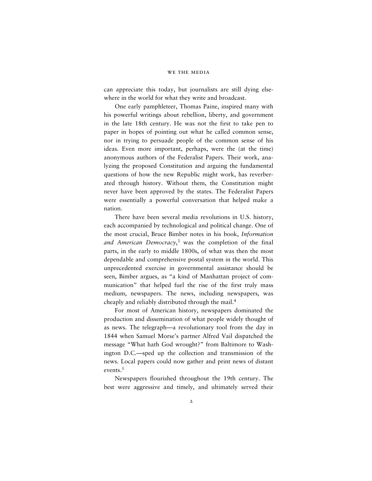can appreciate this today, but journalists are still dying elsewhere in the world for what they write and broadcast.

One early pamphleteer, Thomas Paine, inspired many with his powerful writings about rebellion, liberty, and government in the late 18th century. He was not the first to take pen to paper in hopes of pointing out what he called common sense, nor in trying to persuade people of the common sense of his ideas. Even more important, perhaps, were the (at the time) anonymous authors of the Federalist Papers. Their work, analyzing the proposed Constitution and arguing the fundamental questions of how the new Republic might work, has reverberated through history. Without them, the Constitution might never have been approved by the states. The Federalist Papers were essentially a powerful conversation that helped make a nation.

There have been several media revolutions in U.S. history, each accompanied by technological and political change. One of the most crucial, Bruce Bimber notes in his book, *Information and American Democracy*, <sup>3</sup> was the completion of the final parts, in the early to middle 1800s, of what was then the most dependable and comprehensive postal system in the world. This unprecedented exercise in governmental assistance should be seen, Bimber argues, as "a kind of Manhattan project of communication" that helped fuel the rise of the first truly mass medium, newspapers. The news, including newspapers, was cheaply and reliably distributed through the mail.4

For most of American history, newspapers dominated the production and dissemination of what people widely thought of as news. The telegraph—a revolutionary tool from the day in 1844 when Samuel Morse's partner Alfred Vail dispatched the message "What hath God wrought?" from Baltimore to Washington D.C.—sped up the collection and transmission of the news. Local papers could now gather and print news of distant events.<sup>5</sup>

Newspapers flourished throughout the 19th century. The best were aggressive and timely, and ultimately served their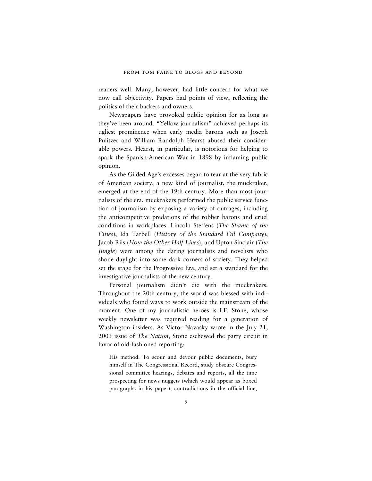readers well. Many, however, had little concern for what we now call objectivity. Papers had points of view, reflecting the politics of their backers and owners.

Newspapers have provoked public opinion for as long as they've been around. "Yellow journalism" achieved perhaps its ugliest prominence when early media barons such as Joseph Pulitzer and William Randolph Hearst abused their considerable powers. Hearst, in particular, is notorious for helping to spark the Spanish-American War in 1898 by inflaming public opinion.

As the Gilded Age's excesses began to tear at the very fabric of American society, a new kind of journalist, the muckraker, emerged at the end of the 19th century. More than most journalists of the era, muckrakers performed the public service function of journalism by exposing a variety of outrages, including the anticompetitive predations of the robber barons and cruel conditions in workplaces. Lincoln Steffens (*The Shame of the Cities*), Ida Tarbell (*History of the Standard Oil Company*), Jacob Riis (*How the Other Half Lives*), and Upton Sinclair (*The Jungle*) were among the daring journalists and novelists who shone daylight into some dark corners of society. They helped set the stage for the Progressive Era, and set a standard for the investigative journalists of the new century.

Personal journalism didn't die with the muckrakers. Throughout the 20th century, the world was blessed with individuals who found ways to work outside the mainstream of the moment. One of my journalistic heroes is I.F. Stone, whose weekly newsletter was required reading for a generation of Washington insiders. As Victor Navasky wrote in the July 21, 2003 issue of *The Nation*, Stone eschewed the party circuit in favor of old-fashioned reporting:

His method: To scour and devour public documents, bury himself in The Congressional Record, study obscure Congressional committee hearings, debates and reports, all the time prospecting for news nuggets (which would appear as boxed paragraphs in his paper), contradictions in the official line,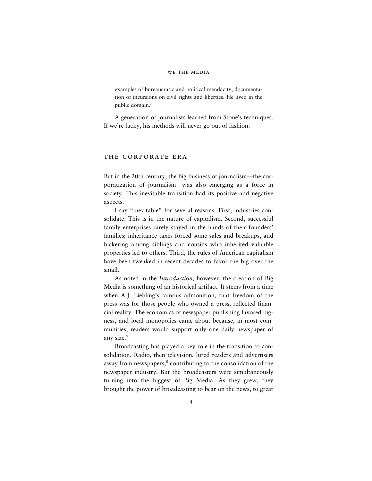examples of bureaucratic and political mendacity, documentation of incursions on civil rights and liberties. He lived in the public domain.6

A generation of journalists learned from Stone's techniques. If we're lucky, his methods will never go out of fashion.

## THE CORPORATE ERA

But in the 20th century, the big business of journalism—the corporatization of journalism—was also emerging as a force in society. This inevitable transition had its positive and negative aspects.

I say "inevitable" for several reasons. First, industries consolidate. This is in the nature of capitalism. Second, successful family enterprises rarely stayed in the hands of their founders' families; inheritance taxes forced some sales and breakups, and bickering among siblings and cousins who inherited valuable properties led to others. Third, the rules of American capitalism have been tweaked in recent decades to favor the big over the small.

As noted in the *Introduction*, however, the creation of Big Media is something of an historical artifact. It stems from a time when A.J. Liebling's famous admonition, that freedom of the press was for those people who owned a press, reflected financial reality. The economics of newspaper publishing favored bigness, and local monopolies came about because, in most communities, readers would support only one daily newspaper of any size.7

Broadcasting has played a key role in the transition to consolidation. Radio, then television, lured readers and advertisers away from newspapers,<sup>8</sup> contributing to the consolidation of the newspaper industry. But the broadcasters were simultaneously turning into the biggest of Big Media. As they grew, they brought the power of broadcasting to bear on the news, to great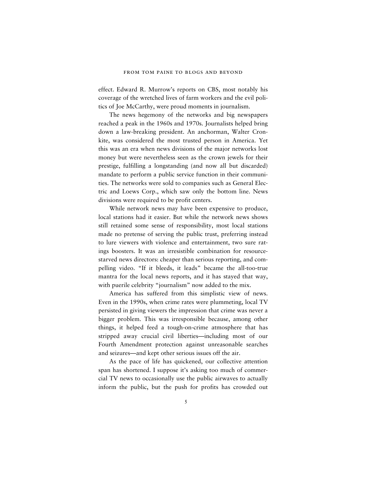effect. Edward R. Murrow's reports on CBS, most notably his coverage of the wretched lives of farm workers and the evil politics of Joe McCarthy, were proud moments in journalism.

The news hegemony of the networks and big newspapers reached a peak in the 1960s and 1970s. Journalists helped bring down a law-breaking president. An anchorman, Walter Cronkite, was considered the most trusted person in America. Yet this was an era when news divisions of the major networks lost money but were nevertheless seen as the crown jewels for their prestige, fulfilling a longstanding (and now all but discarded) mandate to perform a public service function in their communities. The networks were sold to companies such as General Electric and Loews Corp., which saw only the bottom line. News divisions were required to be profit centers.

While network news may have been expensive to produce, local stations had it easier. But while the network news shows still retained some sense of responsibility, most local stations made no pretense of serving the public trust, preferring instead to lure viewers with violence and entertainment, two sure ratings boosters. It was an irresistible combination for resourcestarved news directors: cheaper than serious reporting, and compelling video. "If it bleeds, it leads" became the all-too-true mantra for the local news reports, and it has stayed that way, with puerile celebrity "journalism" now added to the mix.

America has suffered from this simplistic view of news. Even in the 1990s, when crime rates were plummeting, local TV persisted in giving viewers the impression that crime was never a bigger problem. This was irresponsible because, among other things, it helped feed a tough-on-crime atmosphere that has stripped away crucial civil liberties—including most of our Fourth Amendment protection against unreasonable searches and seizures—and kept other serious issues off the air.

As the pace of life has quickened, our collective attention span has shortened. I suppose it's asking too much of commercial TV news to occasionally use the public airwaves to actually inform the public, but the push for profits has crowded out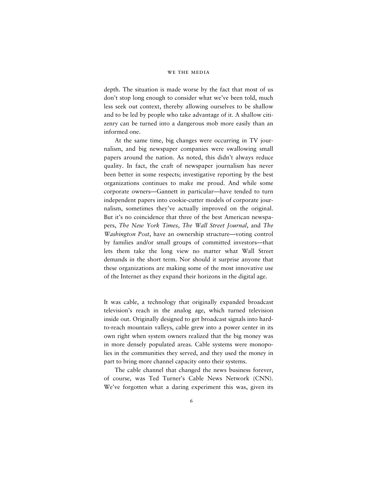depth. The situation is made worse by the fact that most of us don't stop long enough to consider what we've been told, much less seek out context, thereby allowing ourselves to be shallow and to be led by people who take advantage of it. A shallow citizenry can be turned into a dangerous mob more easily than an informed one.

At the same time, big changes were occurring in TV journalism, and big newspaper companies were swallowing small papers around the nation. As noted, this didn't always reduce quality. In fact, the craft of newspaper journalism has never been better in some respects; investigative reporting by the best organizations continues to make me proud. And while some corporate owners—Gannett in particular—have tended to turn independent papers into cookie-cutter models of corporate journalism, sometimes they've actually improved on the original. But it's no coincidence that three of the best American newspapers, *The New York Times*, *The Wall Street Journal*, and *The Washington Post*, have an ownership structure—voting control by families and/or small groups of committed investors—that lets them take the long view no matter what Wall Street demands in the short term. Nor should it surprise anyone that these organizations are making some of the most innovative use of the Internet as they expand their horizons in the digital age.

It was cable, a technology that originally expanded broadcast television's reach in the analog age, which turned television inside out. Originally designed to get broadcast signals into hardto-reach mountain valleys, cable grew into a power center in its own right when system owners realized that the big money was in more densely populated areas. Cable systems were monopolies in the communities they served, and they used the money in part to bring more channel capacity onto their systems.

The cable channel that changed the news business forever, of course, was Ted Turner's Cable News Network (CNN). We've forgotten what a daring experiment this was, given its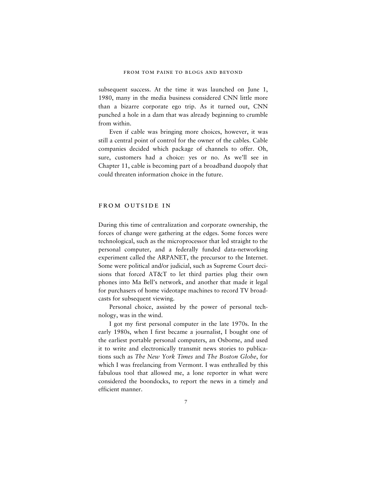subsequent success. At the time it was launched on June 1, 1980, many in the media business considered CNN little more than a bizarre corporate ego trip. As it turned out, CNN punched a hole in a dam that was already beginning to crumble from within.

Even if cable was bringing more choices, however, it was still a central point of control for the owner of the cables. Cable companies decided which package of channels to offer. Oh, sure, customers had a choice: yes or no. As we'll see in Chapter 11, cable is becoming part of a broadband duopoly that could threaten information choice in the future.

## from outside in

During this time of centralization and corporate ownership, the forces of change were gathering at the edges. Some forces were technological, such as the microprocessor that led straight to the personal computer, and a federally funded data-networking experiment called the ARPANET, the precursor to the Internet. Some were political and/or judicial, such as Supreme Court decisions that forced AT&T to let third parties plug their own phones into Ma Bell's network, and another that made it legal for purchasers of home videotape machines to record TV broadcasts for subsequent viewing.

Personal choice, assisted by the power of personal technology, was in the wind.

I got my first personal computer in the late 1970s. In the early 1980s, when I first became a journalist, I bought one of the earliest portable personal computers, an Osborne, and used it to write and electronically transmit news stories to publications such as *The New York Times* and *The Boston Globe*, for which I was freelancing from Vermont. I was enthralled by this fabulous tool that allowed me, a lone reporter in what were considered the boondocks, to report the news in a timely and efficient manner.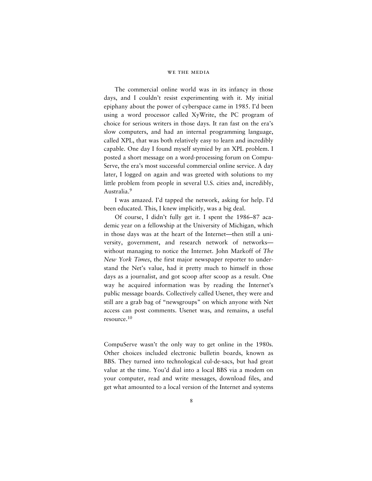The commercial online world was in its infancy in those days, and I couldn't resist experimenting with it. My initial epiphany about the power of cyberspace came in 1985. I'd been using a word processor called XyWrite, the PC program of choice for serious writers in those days. It ran fast on the era's slow computers, and had an internal programming language, called XPL, that was both relatively easy to learn and incredibly capable. One day I found myself stymied by an XPL problem. I posted a short message on a word-processing forum on Compu-Serve, the era's most successful commercial online service. A day later, I logged on again and was greeted with solutions to my little problem from people in several U.S. cities and, incredibly, Australia.9

I was amazed. I'd tapped the network, asking for help. I'd been educated. This, I knew implicitly, was a big deal.

Of course, I didn't fully get it. I spent the 1986–87 academic year on a fellowship at the University of Michigan, which in those days was at the heart of the Internet—then still a university, government, and research network of networks without managing to notice the Internet. John Markoff of *The New York Times*, the first major newspaper reporter to understand the Net's value, had it pretty much to himself in those days as a journalist, and got scoop after scoop as a result. One way he acquired information was by reading the Internet's public message boards. Collectively called Usenet, they were and still are a grab bag of "newsgroups" on which anyone with Net access can post comments. Usenet was, and remains, a useful resource.10

CompuServe wasn't the only way to get online in the 1980s. Other choices included electronic bulletin boards, known as BBS. They turned into technological cul-de-sacs, but had great value at the time. You'd dial into a local BBS via a modem on your computer, read and write messages, download files, and get what amounted to a local version of the Internet and systems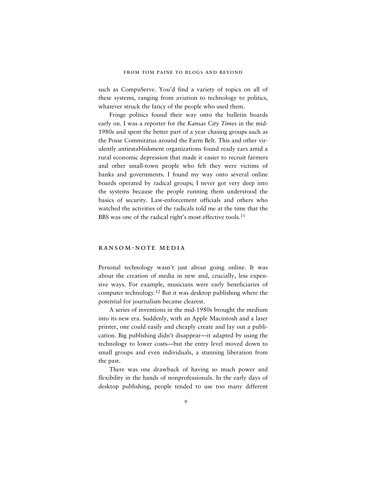such as CompuServe. You'd find a variety of topics on all of these systems, ranging from aviation to technology to politics, whatever struck the fancy of the people who used them.

Fringe politics found their way onto the bulletin boards early on. I was a reporter for the *Kansas City Times* in the mid-1980s and spent the better part of a year chasing groups such as the Posse Commitatus around the Farm Belt. This and other virulently antiestablishment organizations found ready ears amid a rural economic depression that made it easier to recruit farmers and other small-town people who felt they were victims of banks and governments. I found my way onto several online boards operated by radical groups; I never got very deep into the systems because the people running them understood the basics of security. Law-enforcement officials and others who watched the activities of the radicals told me at the time that the BBS was one of the radical right's most effective tools.<sup>11</sup>

#### ransom-note media

Personal technology wasn't just about going online. It was about the creation of media in new and, crucially, less expensive ways. For example, musicians were early beneficiaries of computer technology.12 But it was desktop publishing where the potential for journalism became clearest.

A series of inventions in the mid-1980s brought the medium into its new era. Suddenly, with an Apple Macintosh and a laser printer, one could easily and cheaply create and lay out a publication. Big publishing didn't disappear—it adapted by using the technology to lower costs—but the entry level moved down to small groups and even individuals, a stunning liberation from the past.

There was one drawback of having so much power and flexibility in the hands of nonprofessionals. In the early days of desktop publishing, people tended to use too many different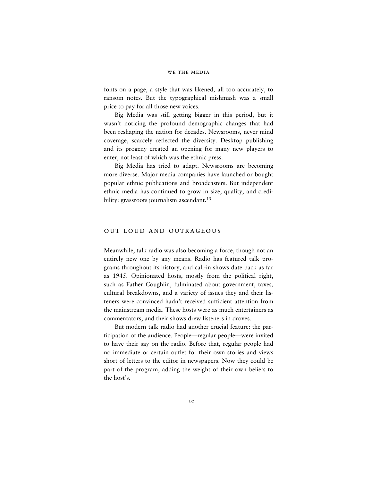fonts on a page, a style that was likened, all too accurately, to ransom notes. But the typographical mishmash was a small price to pay for all those new voices.

Big Media was still getting bigger in this period, but it wasn't noticing the profound demographic changes that had been reshaping the nation for decades. Newsrooms, never mind coverage, scarcely reflected the diversity. Desktop publishing and its progeny created an opening for many new players to enter, not least of which was the ethnic press.

Big Media has tried to adapt. Newsrooms are becoming more diverse. Major media companies have launched or bought popular ethnic publications and broadcasters. But independent ethnic media has continued to grow in size, quality, and credibility: grassroots journalism ascendant.<sup>13</sup>

## out loud and outrageous

Meanwhile, talk radio was also becoming a force, though not an entirely new one by any means. Radio has featured talk programs throughout its history, and call-in shows date back as far as 1945. Opinionated hosts, mostly from the political right, such as Father Coughlin, fulminated about government, taxes, cultural breakdowns, and a variety of issues they and their listeners were convinced hadn't received sufficient attention from the mainstream media. These hosts were as much entertainers as commentators, and their shows drew listeners in droves.

But modern talk radio had another crucial feature: the participation of the audience. People—regular people—were invited to have their say on the radio. Before that, regular people had no immediate or certain outlet for their own stories and views short of letters to the editor in newspapers. Now they could be part of the program, adding the weight of their own beliefs to the host's.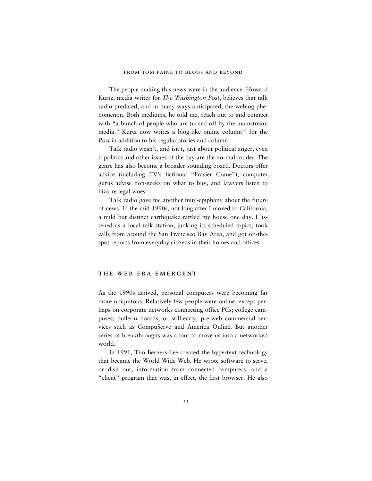The people making this news were in the audience. Howard Kurtz, media writer for *The Washington Post*, believes that talk radio predated, and in many ways anticipated, the weblog phenomenon. Both mediums, he told me, reach out to and connect with "a bunch of people who are turned off by the mainstream media." Kurtz now writes a blog-like online column<sup>14</sup> for the *Post* in addition to his regular stories and column.

Talk radio wasn't, and isn't, just about political anger, even if politics and other issues of the day are the normal fodder. The genre has also become a broader sounding board. Doctors offer advice (including TV's fictional "Frasier Crane"), computer gurus advise non-geeks on what to buy, and lawyers listen to bizarre legal woes.

Talk radio gave me another mini-epiphany about the future of news. In the mid-1990s, not long after I moved to California, a mild but distinct earthquake rattled my house one day. I listened as a local talk station, junking its scheduled topics, took calls from around the San Francisco Bay Area, and got on-thespot reports from everyday citizens in their homes and offices.

#### the web era emergent

As the 1990s arrived, personal computers were becoming far more ubiquitous. Relatively few people were online, except perhaps on corporate networks connecting office PCs; college campuses; bulletin boards; or still-early, pre-web commercial services such as CompuServe and America Online. But another series of breakthroughs was about to move us into a networked world.

In 1991, Tim Berners-Lee created the hypertext technology that became the World Wide Web. He wrote software to serve, or dish out, information from connected computers, and a "client" program that was, in effect, the first browser. He also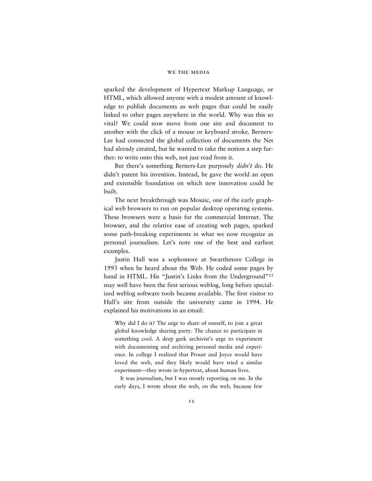sparked the development of Hypertext Markup Language, or HTML, which allowed anyone with a modest amount of knowledge to publish documents as web pages that could be easily linked to other pages anywhere in the world. Why was this so vital? We could now move from one site and document to another with the click of a mouse or keyboard stroke. Berners-Lee had connected the global collection of documents the Net had already created, but he wanted to take the notion a step further: to write onto this web, not just read from it.

But there's something Berners-Lee purposely *didn't* do. He didn't patent his invention. Instead, he gave the world an open and extensible foundation on which new innovation could be built.

The next breakthrough was Mosaic, one of the early graphical web browsers to run on popular desktop operating systems. These browsers were a basis for the commercial Internet. The browser, and the relative ease of creating web pages, sparked some path-breaking experiments in what we now recognize as personal journalism. Let's note one of the best and earliest examples.

Justin Hall was a sophomore at Swarthmore College in 1993 when he heard about the Web. He coded some pages by hand in HTML. His "Justin's Links from the Underground"<sup>15</sup> may well have been the first serious weblog, long before specialized weblog software tools became available. The first visitor to Hall's site from outside the university came in 1994. He explained his motivations in an email:

Why did I do it? The urge to share of oneself, to join a great global knowledge sharing party. The chance to participate in something cool. A deep geek archivist's urge to experiment with documenting and archiving personal media and experience. In college I realized that Proust and Joyce would have loved the web, and they likely would have tried a similar experiment—they wrote in hypertext, about human lives.

It was journalism, but I was mostly reporting on me. In the early days, I wrote about the web, on the web, because few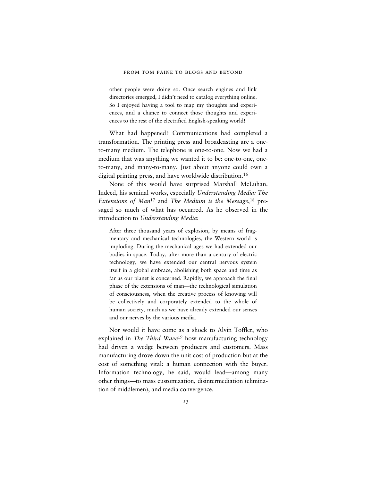other people were doing so. Once search engines and link directories emerged, I didn't need to catalog everything online. So I enjoyed having a tool to map my thoughts and experiences, and a chance to connect those thoughts and experiences to the rest of the electrified English-speaking world!

What had happened? Communications had completed a transformation. The printing press and broadcasting are a oneto-many medium. The telephone is one-to-one. Now we had a medium that was anything we wanted it to be: one-to-one, oneto-many, and many-to-many. Just about anyone could own a digital printing press, and have worldwide distribution.<sup>16</sup>

None of this would have surprised Marshall McLuhan. Indeed, his seminal works, especially *Understanding Media: The Extensions of Man*<sup>17</sup> and *The Medium is the Message*, <sup>18</sup> presaged so much of what has occurred. As he observed in the introduction to *Understanding Media*:

After three thousand years of explosion, by means of fragmentary and mechanical technologies, the Western world is imploding. During the mechanical ages we had extended our bodies in space. Today, after more than a century of electric technology, we have extended our central nervous system itself in a global embrace, abolishing both space and time as far as our planet is concerned. Rapidly, we approach the final phase of the extensions of man—the technological simulation of consciousness, when the creative process of knowing will be collectively and corporately extended to the whole of human society, much as we have already extended our senses and our nerves by the various media.

Nor would it have come as a shock to Alvin Toffler, who explained in *The Third Wave*<sup>19</sup> how manufacturing technology had driven a wedge between producers and customers. Mass manufacturing drove down the unit cost of production but at the cost of something vital: a human connection with the buyer. Information technology, he said, would lead—among many other things—to mass customization, disintermediation (elimination of middlemen), and media convergence.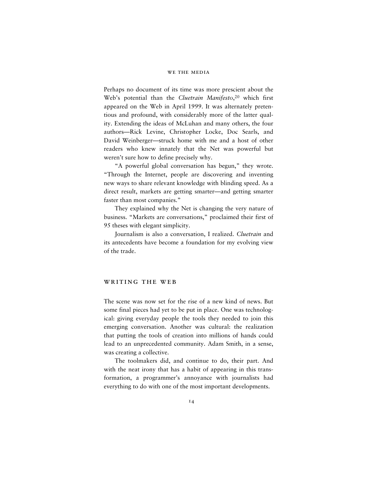Perhaps no document of its time was more prescient about the Web's potential than the *Cluetrain Manifesto*, <sup>20</sup> which first appeared on the Web in April 1999. It was alternately pretentious and profound, with considerably more of the latter quality. Extending the ideas of McLuhan and many others, the four authors—Rick Levine, Christopher Locke, Doc Searls, and David Weinberger—struck home with me and a host of other readers who knew innately that the Net was powerful but weren't sure how to define precisely why.

"A powerful global conversation has begun," they wrote. "Through the Internet, people are discovering and inventing new ways to share relevant knowledge with blinding speed. As a direct result, markets are getting smarter—and getting smarter faster than most companies."

They explained why the Net is changing the very nature of business. "Markets are conversations," proclaimed their first of 95 theses with elegant simplicity.

Journalism is also a conversation, I realized. *Cluetrain* and its antecedents have become a foundation for my evolving view of the trade.

### writing the web

The scene was now set for the rise of a new kind of news. But some final pieces had yet to be put in place. One was technological: giving everyday people the tools they needed to join this emerging conversation. Another was cultural: the realization that putting the tools of creation into millions of hands could lead to an unprecedented community. Adam Smith, in a sense, was creating a collective.

The toolmakers did, and continue to do, their part. And with the neat irony that has a habit of appearing in this transformation, a programmer's annoyance with journalists had everything to do with one of the most important developments.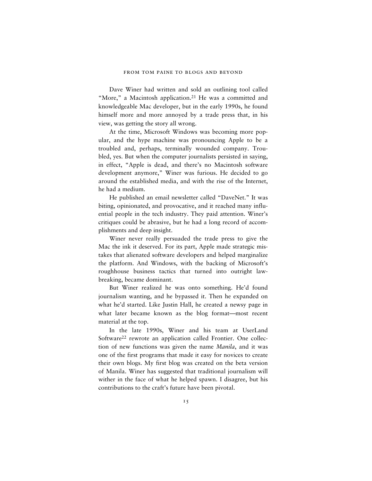Dave Winer had written and sold an outlining tool called "More," a Macintosh application.<sup>21</sup> He was a committed and knowledgeable Mac developer, but in the early 1990s, he found himself more and more annoyed by a trade press that, in his view, was getting the story all wrong.

At the time, Microsoft Windows was becoming more popular, and the hype machine was pronouncing Apple to be a troubled and, perhaps, terminally wounded company. Troubled, yes. But when the computer journalists persisted in saying, in effect, "Apple is dead, and there's no Macintosh software development anymore," Winer was furious. He decided to go around the established media, and with the rise of the Internet, he had a medium.

He published an email newsletter called "DaveNet." It was biting, opinionated, and provocative, and it reached many influential people in the tech industry. They paid attention. Winer's critiques could be abrasive, but he had a long record of accomplishments and deep insight.

Winer never really persuaded the trade press to give the Mac the ink it deserved. For its part, Apple made strategic mistakes that alienated software developers and helped marginalize the platform. And Windows, with the backing of Microsoft's roughhouse business tactics that turned into outright lawbreaking, became dominant.

But Winer realized he was onto something. He'd found journalism wanting, and he bypassed it. Then he expanded on what he'd started. Like Justin Hall, he created a newsy page in what later became known as the blog format—most recent material at the top.

In the late 1990s, Winer and his team at UserLand Software<sup>22</sup> rewrote an application called Frontier. One collection of new functions was given the name *Manila*, and it was one of the first programs that made it easy for novices to create their own blogs. My first blog was created on the beta version of Manila. Winer has suggested that traditional journalism will wither in the face of what he helped spawn. I disagree, but his contributions to the craft's future have been pivotal.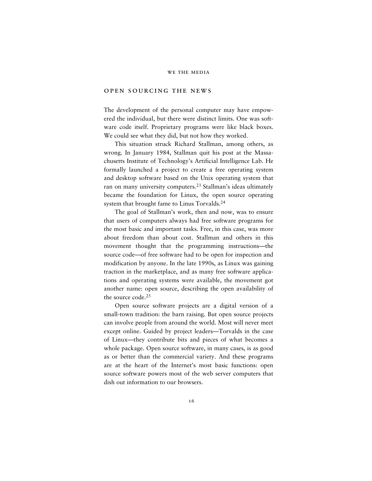#### open sourcing the news

The development of the personal computer may have empowered the individual, but there were distinct limits. One was software code itself. Proprietary programs were like black boxes. We could see what they did, but not how they worked.

This situation struck Richard Stallman, among others, as wrong. In January 1984, Stallman quit his post at the Massachusetts Institute of Technology's Artificial Intelligence Lab. He formally launched a project to create a free operating system and desktop software based on the Unix operating system that ran on many university computers.<sup>23</sup> Stallman's ideas ultimately became the foundation for Linux, the open source operating system that brought fame to Linus Torvalds.<sup>24</sup>

The goal of Stallman's work, then and now, was to ensure that users of computers always had free software programs for the most basic and important tasks. Free, in this case, was more about freedom than about cost. Stallman and others in this movement thought that the programming instructions—the source code—of free software had to be open for inspection and modification by anyone. In the late 1990s, as Linux was gaining traction in the marketplace, and as many free software applications and operating systems were available, the movement got another name: open source, describing the open availability of the source code.<sup>25</sup>

Open source software projects are a digital version of a small-town tradition: the barn raising. But open source projects can involve people from around the world. Most will never meet except online. Guided by project leaders—Torvalds in the case of Linux—they contribute bits and pieces of what becomes a whole package. Open source software, in many cases, is as good as or better than the commercial variety. And these programs are at the heart of the Internet's most basic functions: open source software powers most of the web server computers that dish out information to our browsers.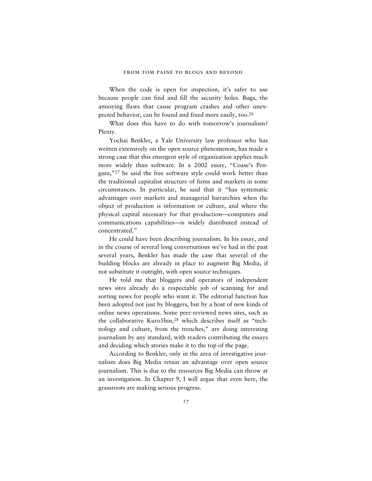When the code is open for inspection, it's safer to use because people can find and fill the security holes. Bugs, the annoying flaws that cause program crashes and other unexpected behavior, can be found and fixed more easily, too.26

What does this have to do with tomorrow's journalism? Plenty.

Yochai Benkler, a Yale University law professor who has written extensively on the open source phenomenon, has made a strong case that this emergent style of organization applies much more widely than software. In a 2002 essay, "Coase's Penguin,"27 he said the free software style could work better than the traditional capitalist structure of firms and markets in some circumstances. In particular, he said that it "has systematic advantages over markets and managerial hierarchies when the object of production is information or culture, and where the physical capital necessary for that production—computers and communications capabilities—is widely distributed instead of concentrated."

He could have been describing journalism. In his essay, and in the course of several long conversations we've had in the past several years, Benkler has made the case that several of the building blocks are already in place to augment Big Media, if not substitute it outright, with open source techniques.

He told me that bloggers and operators of independent news sites already do a respectable job of scanning for and sorting news for people who want it. The editorial function has been adopted not just by bloggers, but by a host of new kinds of online news operations. Some peer-reviewed news sites, such as the collaborative Kuro5hin,<sup>28</sup> which describes itself as "technology and culture, from the trenches," are doing interesting journalism by any standard, with readers contributing the essays and deciding which stories make it to the top of the page.

According to Benkler, only in the area of investigative journalism does Big Media retain an advantage over open source journalism. This is due to the resources Big Media can throw at an investigation. In Chapter 9, I will argue that even here, the grassroots are making serious progress.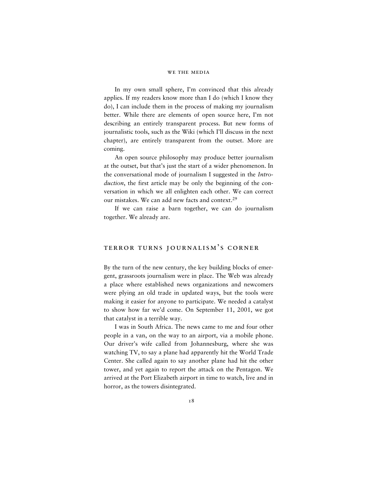In my own small sphere, I'm convinced that this already applies. If my readers know more than I do (which I know they do), I can include them in the process of making my journalism better. While there are elements of open source here, I'm not describing an entirely transparent process. But new forms of journalistic tools, such as the Wiki (which I'll discuss in the next chapter), are entirely transparent from the outset. More are coming.

An open source philosophy may produce better journalism at the outset, but that's just the start of a wider phenomenon. In the conversational mode of journalism I suggested in the *Introduction*, the first article may be only the beginning of the conversation in which we all enlighten each other. We can correct our mistakes. We can add new facts and context.29

If we can raise a barn together, we can do journalism together. We already are.

## terror turns journalism's corner

By the turn of the new century, the key building blocks of emergent, grassroots journalism were in place. The Web was already a place where established news organizations and newcomers were plying an old trade in updated ways, but the tools were making it easier for anyone to participate. We needed a catalyst to show how far we'd come. On September 11, 2001, we got that catalyst in a terrible way.

I was in South Africa. The news came to me and four other people in a van, on the way to an airport, via a mobile phone. Our driver's wife called from Johannesburg, where she was watching TV, to say a plane had apparently hit the World Trade Center. She called again to say another plane had hit the other tower, and yet again to report the attack on the Pentagon. We arrived at the Port Elizabeth airport in time to watch, live and in horror, as the towers disintegrated.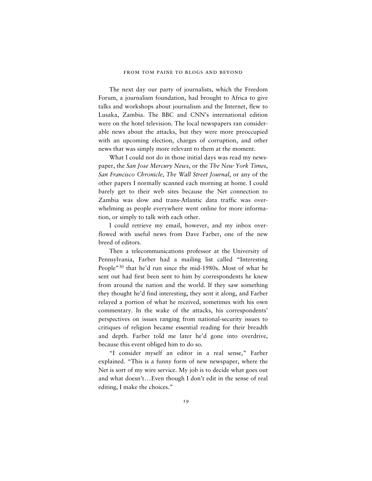The next day our party of journalists, which the Freedom Forum, a journalism foundation, had brought to Africa to give talks and workshops about journalism and the Internet, flew to Lusaka, Zambia. The BBC and CNN's international edition were on the hotel television. The local newspapers ran considerable news about the attacks, but they were more preoccupied with an upcoming election, charges of corruption, and other news that was simply more relevant to them at the moment.

What I could not do in those initial days was read my newspaper, the *San Jose Mercury News*, or the *The New York Times*, *San Francisco Chronicle*, *The Wall Street Journal*, or any of the other papers I normally scanned each morning at home. I could barely get to their web sites because the Net connection to Zambia was slow and trans-Atlantic data traffic was overwhelming as people everywhere went online for more information, or simply to talk with each other.

I could retrieve my email, however, and my inbox overflowed with useful news from Dave Farber, one of the new breed of editors.

Then a telecommunications professor at the University of Pennsylvania, Farber had a mailing list called "Interesting People"30 that he'd run since the mid-1980s. Most of what he sent out had first been sent to him by correspondents he knew from around the nation and the world. If they saw something they thought he'd find interesting, they sent it along, and Farber relayed a portion of what he received, sometimes with his own commentary. In the wake of the attacks, his correspondents' perspectives on issues ranging from national-security issues to critiques of religion became essential reading for their breadth and depth. Farber told me later he'd gone into overdrive, because this event obliged him to do so.

"I consider myself an editor in a real sense," Farber explained. "This is a funny form of new newspaper, where the Net is sort of my wire service. My job is to decide what goes out and what doesn't...Even though I don't edit in the sense of real editing, I make the choices."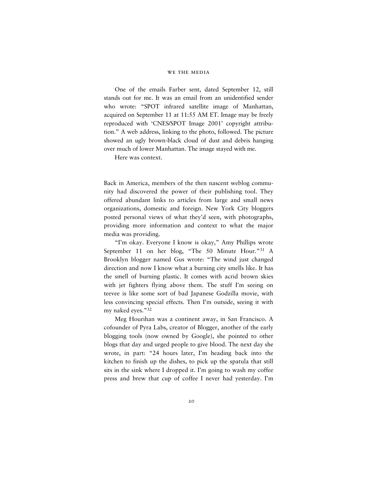One of the emails Farber sent, dated September 12, still stands out for me. It was an email from an unidentified sender who wrote: "SPOT infrared satellite image of Manhattan, acquired on September 11 at 11:55 AM ET. Image may be freely reproduced with 'CNES/SPOT Image 2001' copyright attribution." A web address, linking to the photo, followed. The picture showed an ugly brown-black cloud of dust and debris hanging over much of lower Manhattan. The image stayed with me.

Here was context.

Back in America, members of the then nascent weblog community had discovered the power of their publishing tool. They offered abundant links to articles from large and small news organizations, domestic and foreign. New York City bloggers posted personal views of what they'd seen, with photographs, providing more information and context to what the major media was providing.

"I'm okay. Everyone I know is okay," Amy Phillips wrote September 11 on her blog, "The 50 Minute Hour."31 A Brooklyn blogger named Gus wrote: "The wind just changed direction and now I know what a burning city smells like. It has the smell of burning plastic. It comes with acrid brown skies with jet fighters flying above them. The stuff I'm seeing on teevee is like some sort of bad Japanese Godzilla movie, with less convincing special effects. Then I'm outside, seeing it with my naked eyes."32

Meg Hourihan was a continent away, in San Francisco. A cofounder of Pyra Labs, creator of Blogger, another of the early blogging tools (now owned by Google), she pointed to other blogs that day and urged people to give blood. The next day she wrote, in part: "24 hours later, I'm heading back into the kitchen to finish up the dishes, to pick up the spatula that still sits in the sink where I dropped it. I'm going to wash my coffee press and brew that cup of coffee I never had yesterday. I'm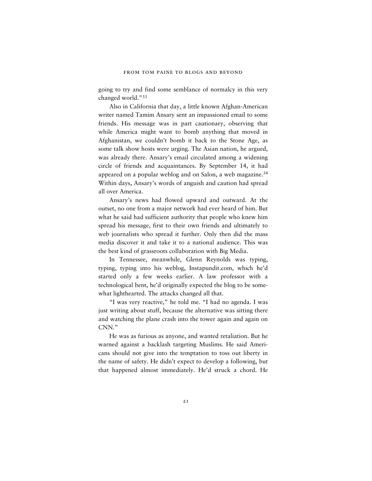going to try and find some semblance of normalcy in this very changed world."33

Also in California that day, a little known Afghan-American writer named Tamim Ansary sent an impassioned email to some friends. His message was in part cautionary, observing that while America might want to bomb anything that moved in Afghanistan, we couldn't bomb it back to the Stone Age, as some talk show hosts were urging. The Asian nation, he argued, was already there. Ansary's email circulated among a widening circle of friends and acquaintances. By September 14, it had appeared on a popular weblog and on Salon, a web magazine.34 Within days, Ansary's words of anguish and caution had spread all over America.

Ansary's news had flowed upward and outward. At the outset, no one from a major network had ever heard of him. But what he said had sufficient authority that people who knew him spread his message, first to their own friends and ultimately to web journalists who spread it further. Only then did the mass media discover it and take it to a national audience. This was the best kind of grassroots collaboration with Big Media.

In Tennessee, meanwhile, Glenn Reynolds was typing, typing, typing into his weblog, Instapundit.com, which he'd started only a few weeks earlier. A law professor with a technological bent, he'd originally expected the blog to be somewhat lighthearted. The attacks changed all that.

"I was very reactive," he told me. "I had no agenda. I was just writing about stuff, because the alternative was sitting there and watching the plane crash into the tower again and again on CNN."

He was as furious as anyone, and wanted retaliation. But he warned against a backlash targeting Muslims. He said Americans should not give into the temptation to toss out liberty in the name of safety. He didn't expect to develop a following, but that happened almost immediately. He'd struck a chord. He